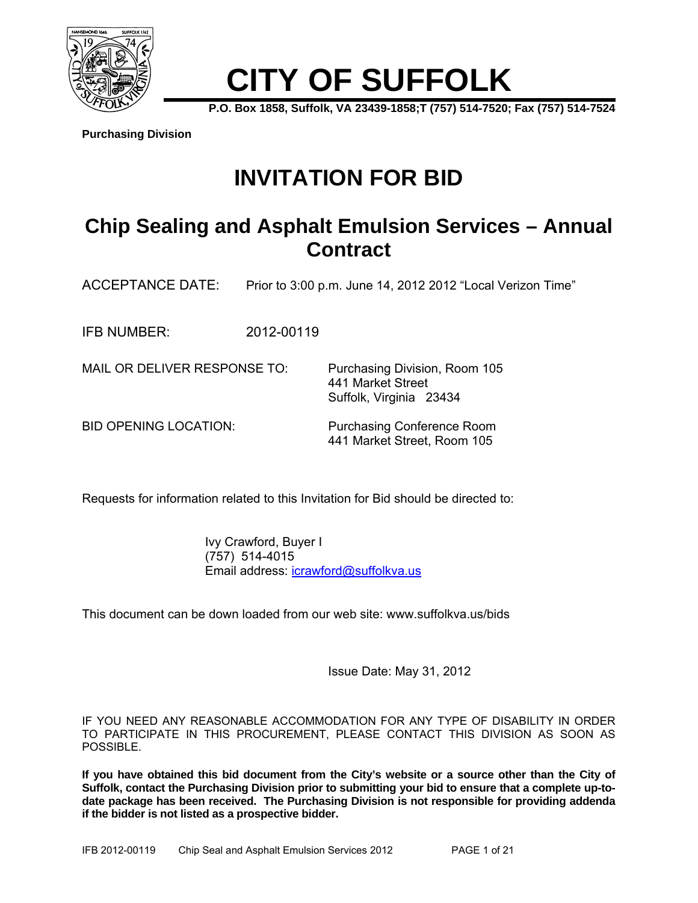

# **CITY OF SUFFOLK**

**P.O. Box 1858, Suffolk, VA 23439-1858;T (757) 514-7520; Fax (757) 514-7524** 

**Purchasing Division**

## **INVITATION FOR BID**

### **Chip Sealing and Asphalt Emulsion Services – Annual Contract**

ACCEPTANCE DATE: Prior to 3:00 p.m. June 14, 2012 2012 "Local Verizon Time"

IFB NUMBER: 2012-00119

MAIL OR DELIVER RESPONSE TO: Purchasing Division, Room 105

BID OPENING LOCATION: Purchasing Conference Room 441 Market Street, Room 105

 441 Market Street Suffolk, Virginia 23434

Requests for information related to this Invitation for Bid should be directed to:

 Ivy Crawford, Buyer I (757) 514-4015 Email address: icrawford@suffolkva.us

This document can be down loaded from our web site: www.suffolkva.us/bids

Issue Date: May 31, 2012

IF YOU NEED ANY REASONABLE ACCOMMODATION FOR ANY TYPE OF DISABILITY IN ORDER TO PARTICIPATE IN THIS PROCUREMENT, PLEASE CONTACT THIS DIVISION AS SOON AS POSSIBLE.

**If you have obtained this bid document from the City's website or a source other than the City of Suffolk, contact the Purchasing Division prior to submitting your bid to ensure that a complete up-todate package has been received. The Purchasing Division is not responsible for providing addenda if the bidder is not listed as a prospective bidder.**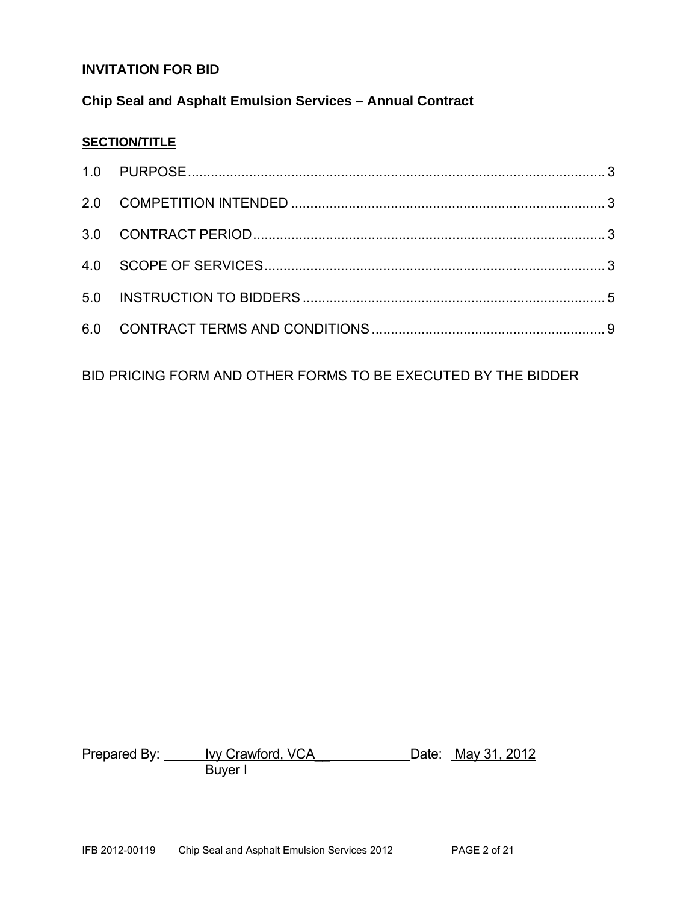#### **INVITATION FOR BID**

#### **Chip Seal and Asphalt Emulsion Services – Annual Contract**

#### **SECTION/TITLE**

BID PRICING FORM AND OTHER FORMS TO BE EXECUTED BY THE BIDDER

Prepared By: <u>Ivy Crawford, VCA</u> Date: May 31, 2012 Buyer I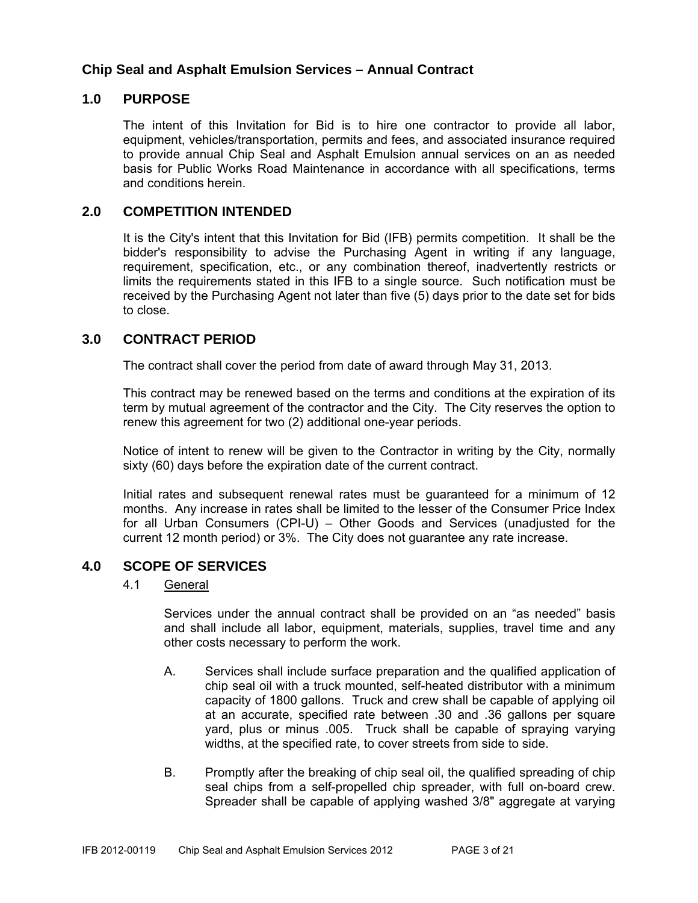#### **Chip Seal and Asphalt Emulsion Services – Annual Contract**

#### **1.0 PURPOSE**

The intent of this Invitation for Bid is to hire one contractor to provide all labor, equipment, vehicles/transportation, permits and fees, and associated insurance required to provide annual Chip Seal and Asphalt Emulsion annual services on an as needed basis for Public Works Road Maintenance in accordance with all specifications, terms and conditions herein.

#### **2.0 COMPETITION INTENDED**

It is the City's intent that this Invitation for Bid (IFB) permits competition. It shall be the bidder's responsibility to advise the Purchasing Agent in writing if any language, requirement, specification, etc., or any combination thereof, inadvertently restricts or limits the requirements stated in this IFB to a single source. Such notification must be received by the Purchasing Agent not later than five (5) days prior to the date set for bids to close.

#### **3.0 CONTRACT PERIOD**

The contract shall cover the period from date of award through May 31, 2013.

This contract may be renewed based on the terms and conditions at the expiration of its term by mutual agreement of the contractor and the City. The City reserves the option to renew this agreement for two (2) additional one-year periods.

Notice of intent to renew will be given to the Contractor in writing by the City, normally sixty (60) days before the expiration date of the current contract.

Initial rates and subsequent renewal rates must be guaranteed for a minimum of 12 months. Any increase in rates shall be limited to the lesser of the Consumer Price Index for all Urban Consumers (CPI-U) – Other Goods and Services (unadjusted for the current 12 month period) or 3%. The City does not guarantee any rate increase.

#### **4.0 SCOPE OF SERVICES**

#### 4.1 General

Services under the annual contract shall be provided on an "as needed" basis and shall include all labor, equipment, materials, supplies, travel time and any other costs necessary to perform the work.

- A. Services shall include surface preparation and the qualified application of chip seal oil with a truck mounted, self-heated distributor with a minimum capacity of 1800 gallons. Truck and crew shall be capable of applying oil at an accurate, specified rate between .30 and .36 gallons per square yard, plus or minus .005. Truck shall be capable of spraying varying widths, at the specified rate, to cover streets from side to side.
- B. Promptly after the breaking of chip seal oil, the qualified spreading of chip seal chips from a self-propelled chip spreader, with full on-board crew. Spreader shall be capable of applying washed 3/8" aggregate at varying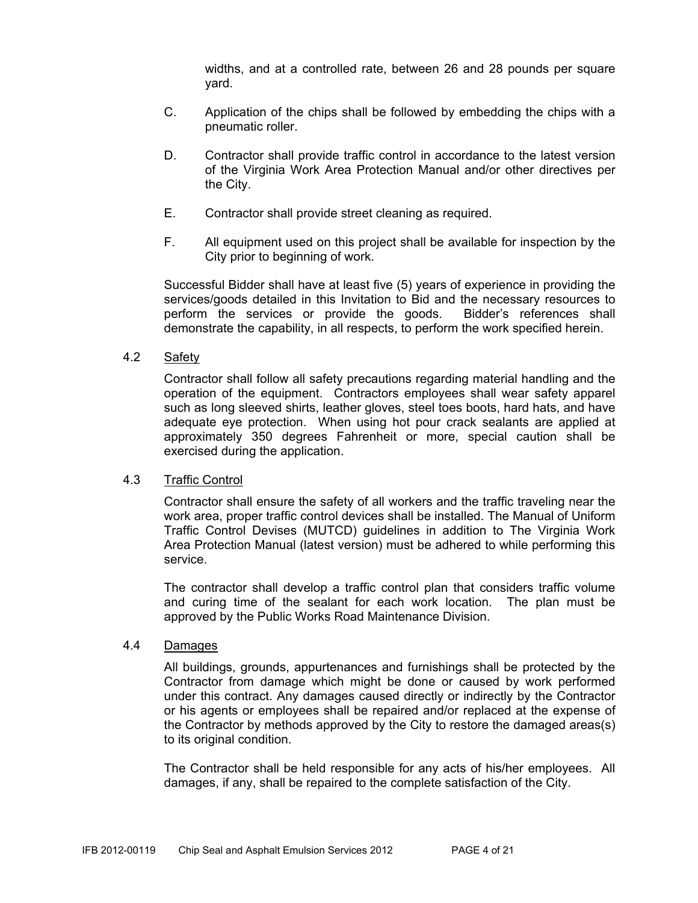widths, and at a controlled rate, between 26 and 28 pounds per square yard.

- C. Application of the chips shall be followed by embedding the chips with a pneumatic roller.
- D. Contractor shall provide traffic control in accordance to the latest version of the Virginia Work Area Protection Manual and/or other directives per the City.
- E. Contractor shall provide street cleaning as required.
- F. All equipment used on this project shall be available for inspection by the City prior to beginning of work.

Successful Bidder shall have at least five (5) years of experience in providing the services/goods detailed in this Invitation to Bid and the necessary resources to perform the services or provide the goods. Bidder's references shall demonstrate the capability, in all respects, to perform the work specified herein.

#### 4.2 Safety

Contractor shall follow all safety precautions regarding material handling and the operation of the equipment. Contractors employees shall wear safety apparel such as long sleeved shirts, leather gloves, steel toes boots, hard hats, and have adequate eye protection. When using hot pour crack sealants are applied at approximately 350 degrees Fahrenheit or more, special caution shall be exercised during the application.

#### 4.3 Traffic Control

Contractor shall ensure the safety of all workers and the traffic traveling near the work area, proper traffic control devices shall be installed. The Manual of Uniform Traffic Control Devises (MUTCD) guidelines in addition to The Virginia Work Area Protection Manual (latest version) must be adhered to while performing this service.

The contractor shall develop a traffic control plan that considers traffic volume and curing time of the sealant for each work location. The plan must be approved by the Public Works Road Maintenance Division.

#### 4.4 Damages

All buildings, grounds, appurtenances and furnishings shall be protected by the Contractor from damage which might be done or caused by work performed under this contract. Any damages caused directly or indirectly by the Contractor or his agents or employees shall be repaired and/or replaced at the expense of the Contractor by methods approved by the City to restore the damaged areas(s) to its original condition.

The Contractor shall be held responsible for any acts of his/her employees. All damages, if any, shall be repaired to the complete satisfaction of the City.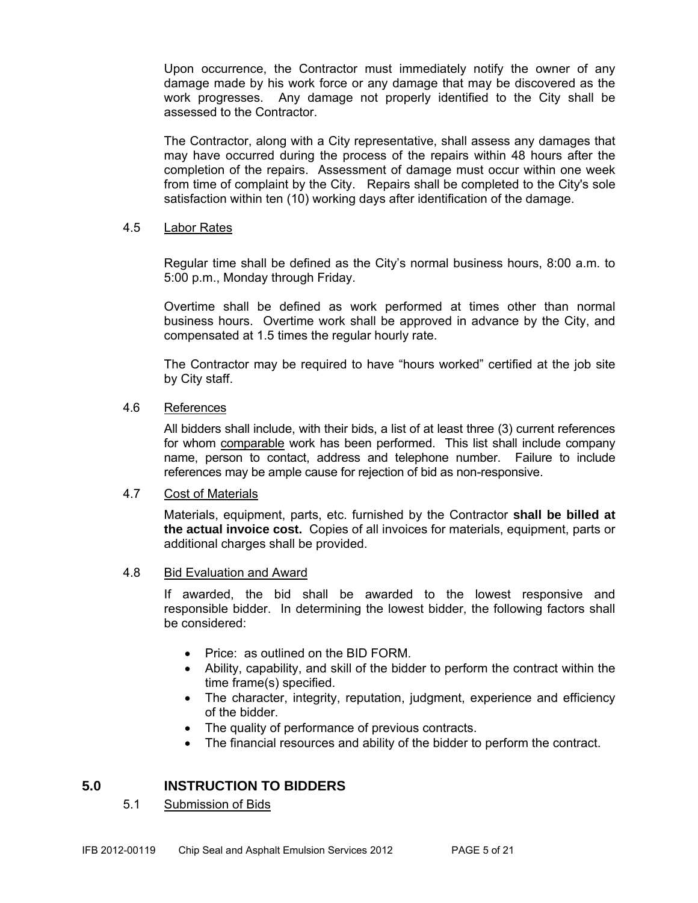Upon occurrence, the Contractor must immediately notify the owner of any damage made by his work force or any damage that may be discovered as the work progresses. Any damage not properly identified to the City shall be assessed to the Contractor.

The Contractor, along with a City representative, shall assess any damages that may have occurred during the process of the repairs within 48 hours after the completion of the repairs. Assessment of damage must occur within one week from time of complaint by the City. Repairs shall be completed to the City's sole satisfaction within ten (10) working days after identification of the damage.

#### 4.5 Labor Rates

Regular time shall be defined as the City's normal business hours, 8:00 a.m. to 5:00 p.m., Monday through Friday.

Overtime shall be defined as work performed at times other than normal business hours. Overtime work shall be approved in advance by the City, and compensated at 1.5 times the regular hourly rate.

The Contractor may be required to have "hours worked" certified at the job site by City staff.

#### 4.6 References

 All bidders shall include, with their bids, a list of at least three (3) current references for whom comparable work has been performed. This list shall include company name, person to contact, address and telephone number. Failure to include references may be ample cause for rejection of bid as non-responsive.

#### 4.7 Cost of Materials

 Materials, equipment, parts, etc. furnished by the Contractor **shall be billed at the actual invoice cost.** Copies of all invoices for materials, equipment, parts or additional charges shall be provided.

#### 4.8 Bid Evaluation and Award

If awarded, the bid shall be awarded to the lowest responsive and responsible bidder. In determining the lowest bidder, the following factors shall be considered:

- Price: as outlined on the BID FORM.
- Ability, capability, and skill of the bidder to perform the contract within the time frame(s) specified.
- The character, integrity, reputation, judgment, experience and efficiency of the bidder.
- The quality of performance of previous contracts.
- The financial resources and ability of the bidder to perform the contract.

#### **5.0 INSTRUCTION TO BIDDERS**

5.1 Submission of Bids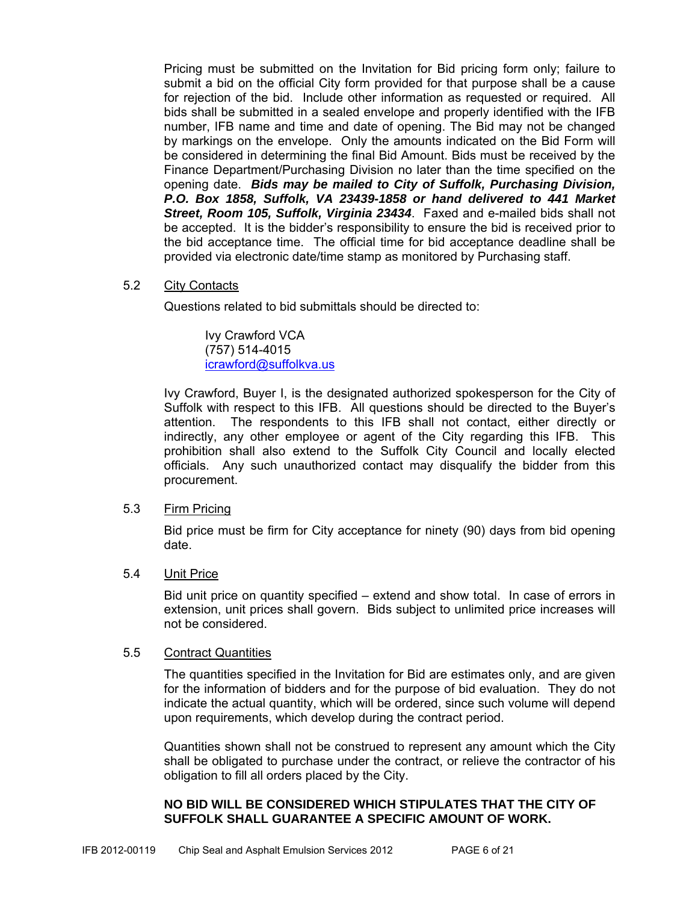Pricing must be submitted on the Invitation for Bid pricing form only; failure to submit a bid on the official City form provided for that purpose shall be a cause for rejection of the bid. Include other information as requested or required. All bids shall be submitted in a sealed envelope and properly identified with the IFB number, IFB name and time and date of opening. The Bid may not be changed by markings on the envelope. Only the amounts indicated on the Bid Form will be considered in determining the final Bid Amount. Bids must be received by the Finance Department/Purchasing Division no later than the time specified on the opening date. *Bids may be mailed to City of Suffolk, Purchasing Division, P.O. Box 1858, Suffolk, VA 23439-1858 or hand delivered to 441 Market Street, Room 105, Suffolk, Virginia 23434*. Faxed and e-mailed bids shall not be accepted. It is the bidder's responsibility to ensure the bid is received prior to the bid acceptance time. The official time for bid acceptance deadline shall be provided via electronic date/time stamp as monitored by Purchasing staff.

#### 5.2 City Contacts

Questions related to bid submittals should be directed to:

 Ivy Crawford VCA (757) 514-4015 icrawford@suffolkva.us

Ivy Crawford, Buyer I, is the designated authorized spokesperson for the City of Suffolk with respect to this IFB. All questions should be directed to the Buyer's attention. The respondents to this IFB shall not contact, either directly or indirectly, any other employee or agent of the City regarding this IFB. This prohibition shall also extend to the Suffolk City Council and locally elected officials. Any such unauthorized contact may disqualify the bidder from this procurement.

#### 5.3 Firm Pricing

Bid price must be firm for City acceptance for ninety (90) days from bid opening date.

#### 5.4 Unit Price

Bid unit price on quantity specified – extend and show total. In case of errors in extension, unit prices shall govern. Bids subject to unlimited price increases will not be considered.

#### 5.5 Contract Quantities

The quantities specified in the Invitation for Bid are estimates only, and are given for the information of bidders and for the purpose of bid evaluation. They do not indicate the actual quantity, which will be ordered, since such volume will depend upon requirements, which develop during the contract period.

Quantities shown shall not be construed to represent any amount which the City shall be obligated to purchase under the contract, or relieve the contractor of his obligation to fill all orders placed by the City.

#### **NO BID WILL BE CONSIDERED WHICH STIPULATES THAT THE CITY OF SUFFOLK SHALL GUARANTEE A SPECIFIC AMOUNT OF WORK.**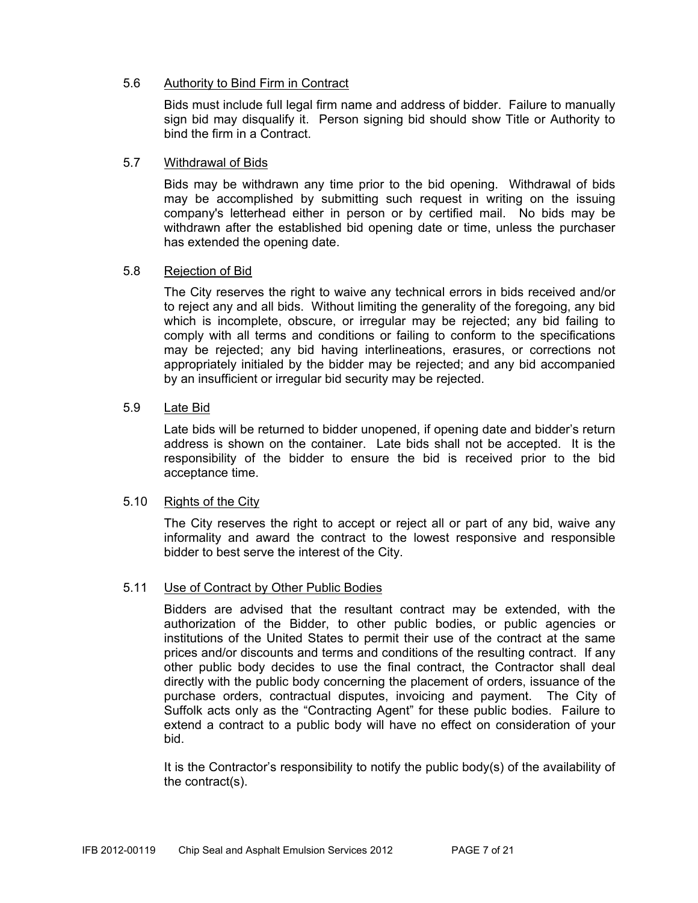#### 5.6 Authority to Bind Firm in Contract

Bids must include full legal firm name and address of bidder. Failure to manually sign bid may disqualify it. Person signing bid should show Title or Authority to bind the firm in a Contract.

#### 5.7 Withdrawal of Bids

Bids may be withdrawn any time prior to the bid opening. Withdrawal of bids may be accomplished by submitting such request in writing on the issuing company's letterhead either in person or by certified mail. No bids may be withdrawn after the established bid opening date or time, unless the purchaser has extended the opening date.

#### 5.8 Rejection of Bid

The City reserves the right to waive any technical errors in bids received and/or to reject any and all bids. Without limiting the generality of the foregoing, any bid which is incomplete, obscure, or irregular may be rejected; any bid failing to comply with all terms and conditions or failing to conform to the specifications may be rejected; any bid having interlineations, erasures, or corrections not appropriately initialed by the bidder may be rejected; and any bid accompanied by an insufficient or irregular bid security may be rejected.

#### 5.9 Late Bid

Late bids will be returned to bidder unopened, if opening date and bidder's return address is shown on the container. Late bids shall not be accepted. It is the responsibility of the bidder to ensure the bid is received prior to the bid acceptance time.

#### 5.10 Rights of the City

The City reserves the right to accept or reject all or part of any bid, waive any informality and award the contract to the lowest responsive and responsible bidder to best serve the interest of the City.

#### 5.11 Use of Contract by Other Public Bodies

Bidders are advised that the resultant contract may be extended, with the authorization of the Bidder, to other public bodies, or public agencies or institutions of the United States to permit their use of the contract at the same prices and/or discounts and terms and conditions of the resulting contract. If any other public body decides to use the final contract, the Contractor shall deal directly with the public body concerning the placement of orders, issuance of the purchase orders, contractual disputes, invoicing and payment. The City of Suffolk acts only as the "Contracting Agent" for these public bodies. Failure to extend a contract to a public body will have no effect on consideration of your bid.

It is the Contractor's responsibility to notify the public body(s) of the availability of the contract(s).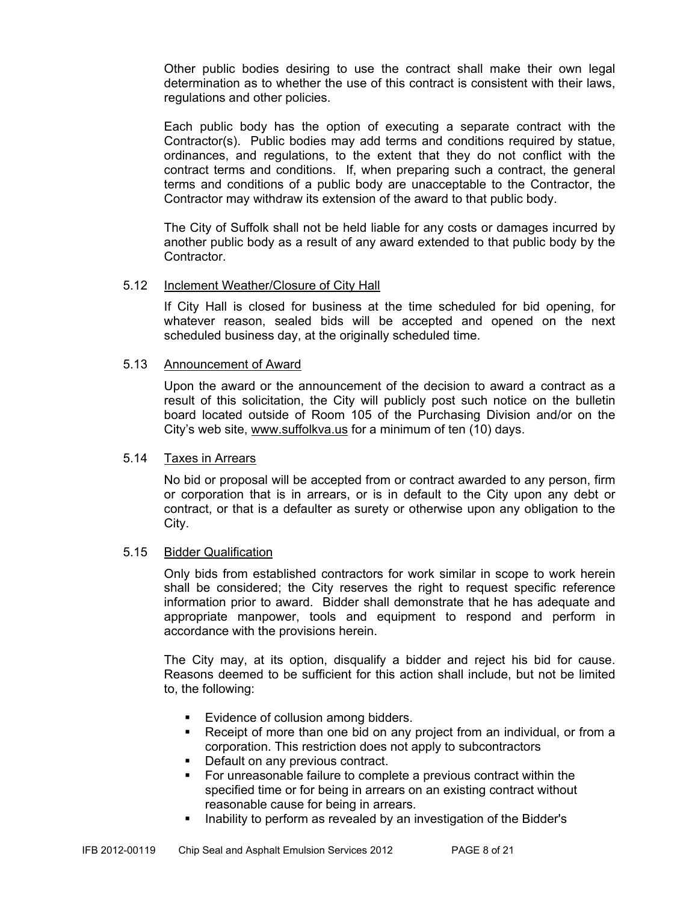Other public bodies desiring to use the contract shall make their own legal determination as to whether the use of this contract is consistent with their laws, regulations and other policies.

Each public body has the option of executing a separate contract with the Contractor(s). Public bodies may add terms and conditions required by statue, ordinances, and regulations, to the extent that they do not conflict with the contract terms and conditions. If, when preparing such a contract, the general terms and conditions of a public body are unacceptable to the Contractor, the Contractor may withdraw its extension of the award to that public body.

The City of Suffolk shall not be held liable for any costs or damages incurred by another public body as a result of any award extended to that public body by the Contractor.

#### 5.12 Inclement Weather/Closure of City Hall

If City Hall is closed for business at the time scheduled for bid opening, for whatever reason, sealed bids will be accepted and opened on the next scheduled business day, at the originally scheduled time.

#### 5.13 Announcement of Award

Upon the award or the announcement of the decision to award a contract as a result of this solicitation, the City will publicly post such notice on the bulletin board located outside of Room 105 of the Purchasing Division and/or on the City's web site, www.suffolkva.us for a minimum of ten (10) days.

#### 5.14 Taxes in Arrears

No bid or proposal will be accepted from or contract awarded to any person, firm or corporation that is in arrears, or is in default to the City upon any debt or contract, or that is a defaulter as surety or otherwise upon any obligation to the City.

#### 5.15 Bidder Qualification

Only bids from established contractors for work similar in scope to work herein shall be considered; the City reserves the right to request specific reference information prior to award. Bidder shall demonstrate that he has adequate and appropriate manpower, tools and equipment to respond and perform in accordance with the provisions herein.

The City may, at its option, disqualify a bidder and reject his bid for cause. Reasons deemed to be sufficient for this action shall include, but not be limited to, the following:

- Evidence of collusion among bidders.
- Receipt of more than one bid on any project from an individual, or from a corporation. This restriction does not apply to subcontractors
- Default on any previous contract.
- For unreasonable failure to complete a previous contract within the specified time or for being in arrears on an existing contract without reasonable cause for being in arrears.
- Inability to perform as revealed by an investigation of the Bidder's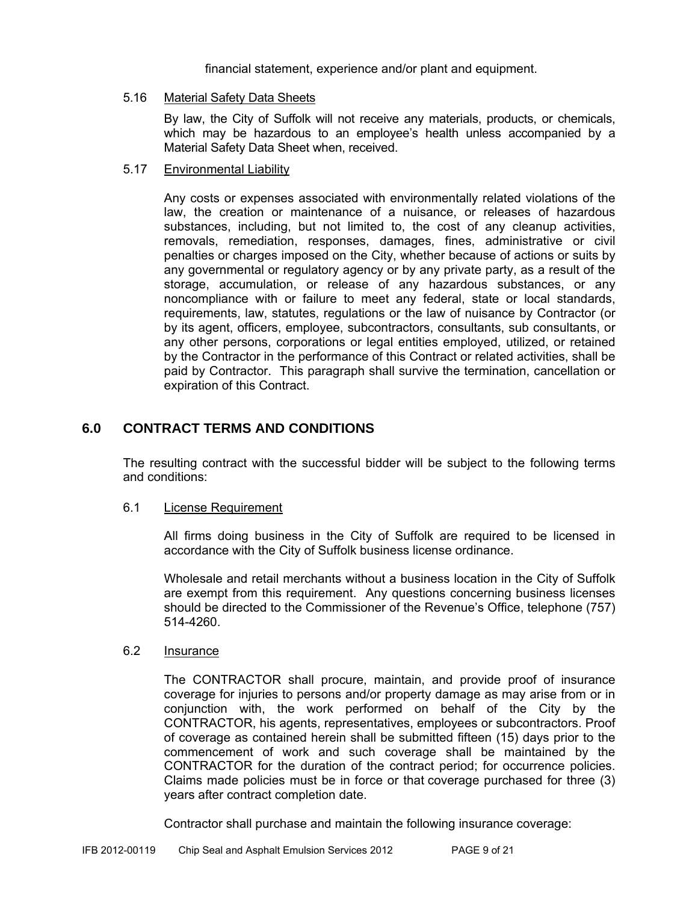financial statement, experience and/or plant and equipment.

#### 5.16 Material Safety Data Sheets

 By law, the City of Suffolk will not receive any materials, products, or chemicals, which may be hazardous to an employee's health unless accompanied by a Material Safety Data Sheet when, received.

#### 5.17 Environmental Liability

Any costs or expenses associated with environmentally related violations of the law, the creation or maintenance of a nuisance, or releases of hazardous substances, including, but not limited to, the cost of any cleanup activities, removals, remediation, responses, damages, fines, administrative or civil penalties or charges imposed on the City, whether because of actions or suits by any governmental or regulatory agency or by any private party, as a result of the storage, accumulation, or release of any hazardous substances, or any noncompliance with or failure to meet any federal, state or local standards, requirements, law, statutes, regulations or the law of nuisance by Contractor (or by its agent, officers, employee, subcontractors, consultants, sub consultants, or any other persons, corporations or legal entities employed, utilized, or retained by the Contractor in the performance of this Contract or related activities, shall be paid by Contractor. This paragraph shall survive the termination, cancellation or expiration of this Contract.

#### **6.0 CONTRACT TERMS AND CONDITIONS**

The resulting contract with the successful bidder will be subject to the following terms and conditions:

#### 6.1 License Requirement

All firms doing business in the City of Suffolk are required to be licensed in accordance with the City of Suffolk business license ordinance.

Wholesale and retail merchants without a business location in the City of Suffolk are exempt from this requirement. Any questions concerning business licenses should be directed to the Commissioner of the Revenue's Office, telephone (757) 514-4260.

#### 6.2 Insurance

The CONTRACTOR shall procure, maintain, and provide proof of insurance coverage for injuries to persons and/or property damage as may arise from or in conjunction with, the work performed on behalf of the City by the CONTRACTOR, his agents, representatives, employees or subcontractors. Proof of coverage as contained herein shall be submitted fifteen (15) days prior to the commencement of work and such coverage shall be maintained by the CONTRACTOR for the duration of the contract period; for occurrence policies. Claims made policies must be in force or that coverage purchased for three (3) years after contract completion date.

Contractor shall purchase and maintain the following insurance coverage: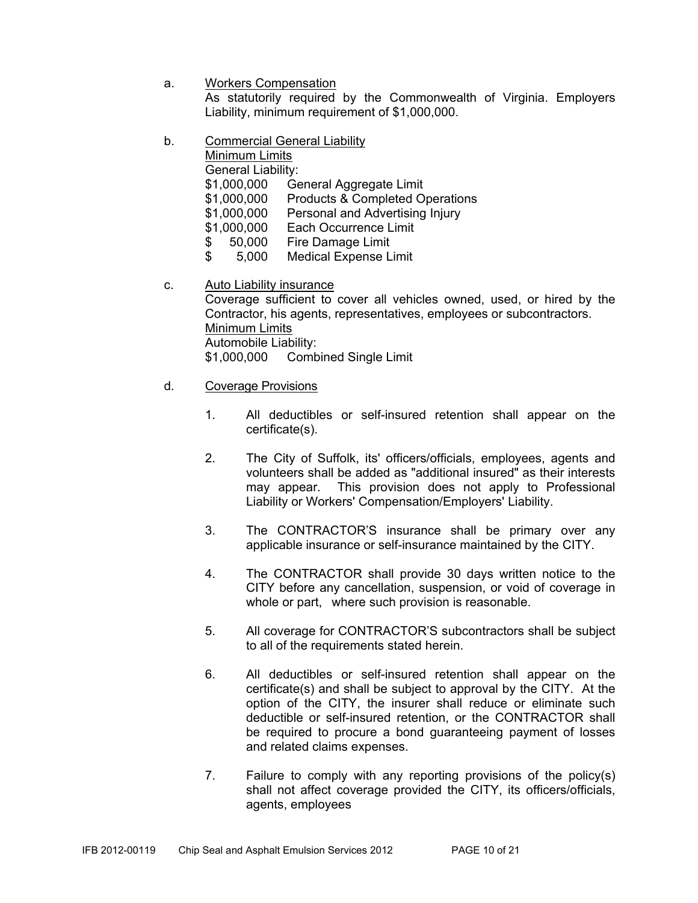a. Workers Compensation

As statutorily required by the Commonwealth of Virginia. Employers Liability, minimum requirement of \$1,000,000.

- b. Commercial General Liability
	- Minimum Limits

General Liability:

- \$1,000,000 General Aggregate Limit
- \$1,000,000 Products & Completed Operations
- \$1,000,000 Personal and Advertising Injury
- \$1,000,000 Each Occurrence Limit
- \$ 50,000 Fire Damage Limit
- \$ 5,000 Medical Expense Limit
- c. Auto Liability insurance

Coverage sufficient to cover all vehicles owned, used, or hired by the Contractor, his agents, representatives, employees or subcontractors. Minimum Limits Automobile Liability: \$1,000,000 Combined Single Limit

#### d. Coverage Provisions

- 1. All deductibles or self-insured retention shall appear on the certificate(s).
- 2. The City of Suffolk, its' officers/officials, employees, agents and volunteers shall be added as "additional insured" as their interests may appear. This provision does not apply to Professional Liability or Workers' Compensation/Employers' Liability.
- 3. The CONTRACTOR'S insurance shall be primary over any applicable insurance or self-insurance maintained by the CITY.
- 4. The CONTRACTOR shall provide 30 days written notice to the CITY before any cancellation, suspension, or void of coverage in whole or part, where such provision is reasonable.
- 5. All coverage for CONTRACTOR'S subcontractors shall be subject to all of the requirements stated herein.
- 6. All deductibles or self-insured retention shall appear on the certificate(s) and shall be subject to approval by the CITY. At the option of the CITY, the insurer shall reduce or eliminate such deductible or self-insured retention, or the CONTRACTOR shall be required to procure a bond guaranteeing payment of losses and related claims expenses.
- 7. Failure to comply with any reporting provisions of the policy(s) shall not affect coverage provided the CITY, its officers/officials, agents, employees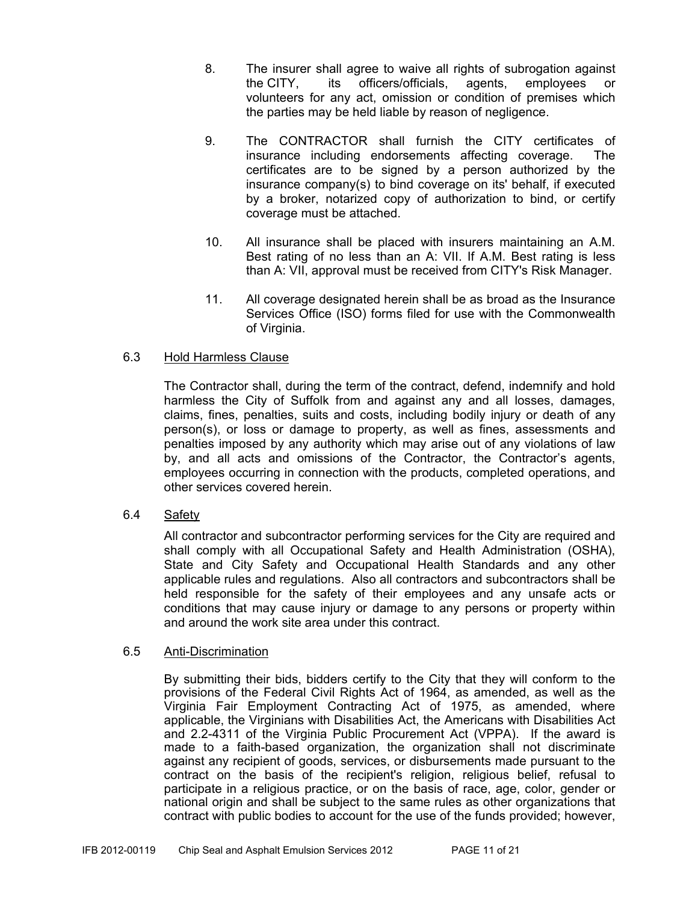- 8. The insurer shall agree to waive all rights of subrogation against the CITY, its officers/officials, agents, employees or volunteers for any act, omission or condition of premises which the parties may be held liable by reason of negligence.
- 9. The CONTRACTOR shall furnish the CITY certificates of insurance including endorsements affecting coverage. The certificates are to be signed by a person authorized by the insurance company(s) to bind coverage on its' behalf, if executed by a broker, notarized copy of authorization to bind, or certify coverage must be attached.
- 10. All insurance shall be placed with insurers maintaining an A.M. Best rating of no less than an A: VII. If A.M. Best rating is less than A: VII, approval must be received from CITY's Risk Manager.
- 11. All coverage designated herein shall be as broad as the Insurance Services Office (ISO) forms filed for use with the Commonwealth of Virginia.

#### 6.3 Hold Harmless Clause

The Contractor shall, during the term of the contract, defend, indemnify and hold harmless the City of Suffolk from and against any and all losses, damages, claims, fines, penalties, suits and costs, including bodily injury or death of any person(s), or loss or damage to property, as well as fines, assessments and penalties imposed by any authority which may arise out of any violations of law by, and all acts and omissions of the Contractor, the Contractor's agents, employees occurring in connection with the products, completed operations, and other services covered herein.

#### 6.4 Safety

All contractor and subcontractor performing services for the City are required and shall comply with all Occupational Safety and Health Administration (OSHA), State and City Safety and Occupational Health Standards and any other applicable rules and regulations. Also all contractors and subcontractors shall be held responsible for the safety of their employees and any unsafe acts or conditions that may cause injury or damage to any persons or property within and around the work site area under this contract.

#### 6.5 Anti-Discrimination

By submitting their bids, bidders certify to the City that they will conform to the provisions of the Federal Civil Rights Act of 1964, as amended, as well as the Virginia Fair Employment Contracting Act of 1975, as amended, where applicable, the Virginians with Disabilities Act, the Americans with Disabilities Act and 2.2-4311 of the Virginia Public Procurement Act (VPPA). If the award is made to a faith-based organization, the organization shall not discriminate against any recipient of goods, services, or disbursements made pursuant to the contract on the basis of the recipient's religion, religious belief, refusal to participate in a religious practice, or on the basis of race, age, color, gender or national origin and shall be subject to the same rules as other organizations that contract with public bodies to account for the use of the funds provided; however,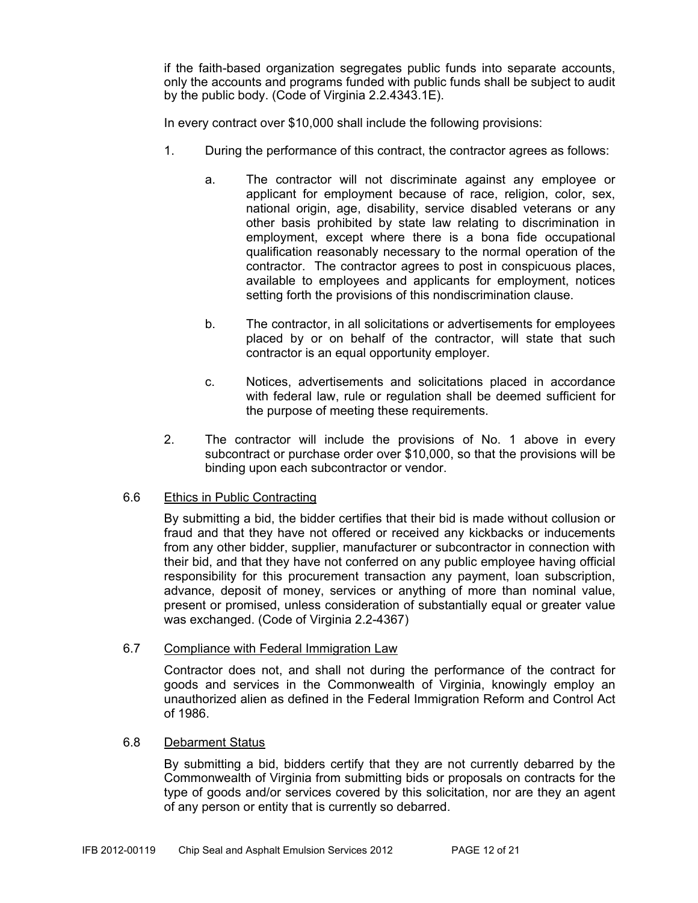if the faith-based organization segregates public funds into separate accounts, only the accounts and programs funded with public funds shall be subject to audit by the public body. (Code of Virginia 2.2.4343.1E).

In every contract over \$10,000 shall include the following provisions:

- 1. During the performance of this contract, the contractor agrees as follows:
	- a. The contractor will not discriminate against any employee or applicant for employment because of race, religion, color, sex, national origin, age, disability, service disabled veterans or any other basis prohibited by state law relating to discrimination in employment, except where there is a bona fide occupational qualification reasonably necessary to the normal operation of the contractor. The contractor agrees to post in conspicuous places, available to employees and applicants for employment, notices setting forth the provisions of this nondiscrimination clause.
	- b. The contractor, in all solicitations or advertisements for employees placed by or on behalf of the contractor, will state that such contractor is an equal opportunity employer.
	- c. Notices, advertisements and solicitations placed in accordance with federal law, rule or regulation shall be deemed sufficient for the purpose of meeting these requirements.
- 2. The contractor will include the provisions of No. 1 above in every subcontract or purchase order over \$10,000, so that the provisions will be binding upon each subcontractor or vendor.

#### 6.6 Ethics in Public Contracting

By submitting a bid, the bidder certifies that their bid is made without collusion or fraud and that they have not offered or received any kickbacks or inducements from any other bidder, supplier, manufacturer or subcontractor in connection with their bid, and that they have not conferred on any public employee having official responsibility for this procurement transaction any payment, loan subscription, advance, deposit of money, services or anything of more than nominal value, present or promised, unless consideration of substantially equal or greater value was exchanged. (Code of Virginia 2.2-4367)

#### 6.7 Compliance with Federal Immigration Law

Contractor does not, and shall not during the performance of the contract for goods and services in the Commonwealth of Virginia, knowingly employ an unauthorized alien as defined in the Federal Immigration Reform and Control Act of 1986.

#### 6.8 Debarment Status

By submitting a bid, bidders certify that they are not currently debarred by the Commonwealth of Virginia from submitting bids or proposals on contracts for the type of goods and/or services covered by this solicitation, nor are they an agent of any person or entity that is currently so debarred.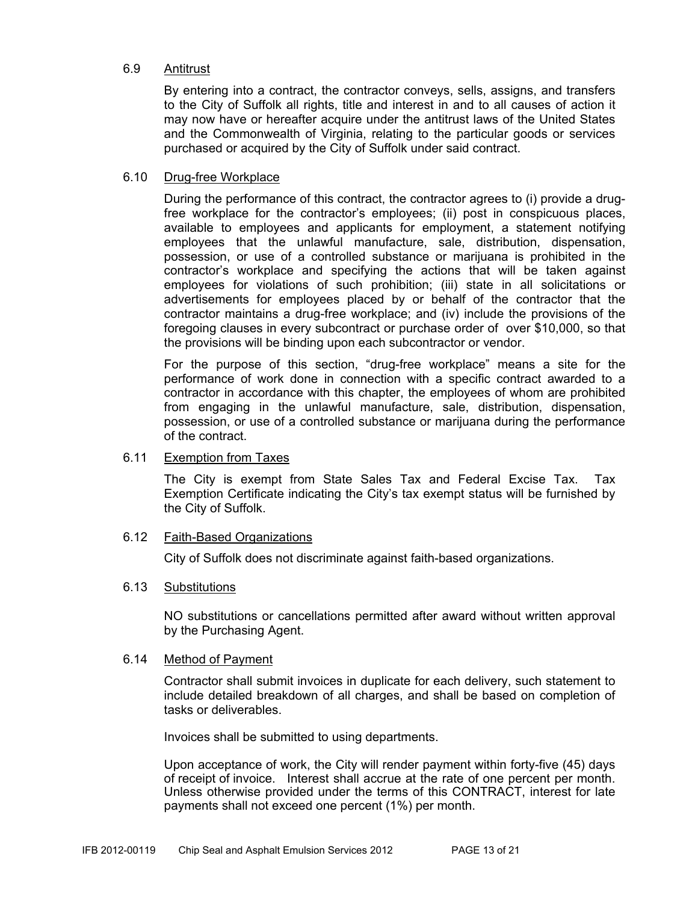#### 6.9 Antitrust

By entering into a contract, the contractor conveys, sells, assigns, and transfers to the City of Suffolk all rights, title and interest in and to all causes of action it may now have or hereafter acquire under the antitrust laws of the United States and the Commonwealth of Virginia, relating to the particular goods or services purchased or acquired by the City of Suffolk under said contract.

#### 6.10 Drug-free Workplace

During the performance of this contract, the contractor agrees to (i) provide a drugfree workplace for the contractor's employees; (ii) post in conspicuous places, available to employees and applicants for employment, a statement notifying employees that the unlawful manufacture, sale, distribution, dispensation, possession, or use of a controlled substance or marijuana is prohibited in the contractor's workplace and specifying the actions that will be taken against employees for violations of such prohibition; (iii) state in all solicitations or advertisements for employees placed by or behalf of the contractor that the contractor maintains a drug-free workplace; and (iv) include the provisions of the foregoing clauses in every subcontract or purchase order of over \$10,000, so that the provisions will be binding upon each subcontractor or vendor.

For the purpose of this section, "drug-free workplace" means a site for the performance of work done in connection with a specific contract awarded to a contractor in accordance with this chapter, the employees of whom are prohibited from engaging in the unlawful manufacture, sale, distribution, dispensation, possession, or use of a controlled substance or marijuana during the performance of the contract.

#### 6.11 Exemption from Taxes

The City is exempt from State Sales Tax and Federal Excise Tax. Tax Exemption Certificate indicating the City's tax exempt status will be furnished by the City of Suffolk.

#### 6.12 Faith-Based Organizations

City of Suffolk does not discriminate against faith-based organizations.

#### 6.13 Substitutions

NO substitutions or cancellations permitted after award without written approval by the Purchasing Agent.

#### 6.14 Method of Payment

Contractor shall submit invoices in duplicate for each delivery, such statement to include detailed breakdown of all charges, and shall be based on completion of tasks or deliverables.

Invoices shall be submitted to using departments.

Upon acceptance of work, the City will render payment within forty-five (45) days of receipt of invoice. Interest shall accrue at the rate of one percent per month. Unless otherwise provided under the terms of this CONTRACT, interest for late payments shall not exceed one percent (1%) per month.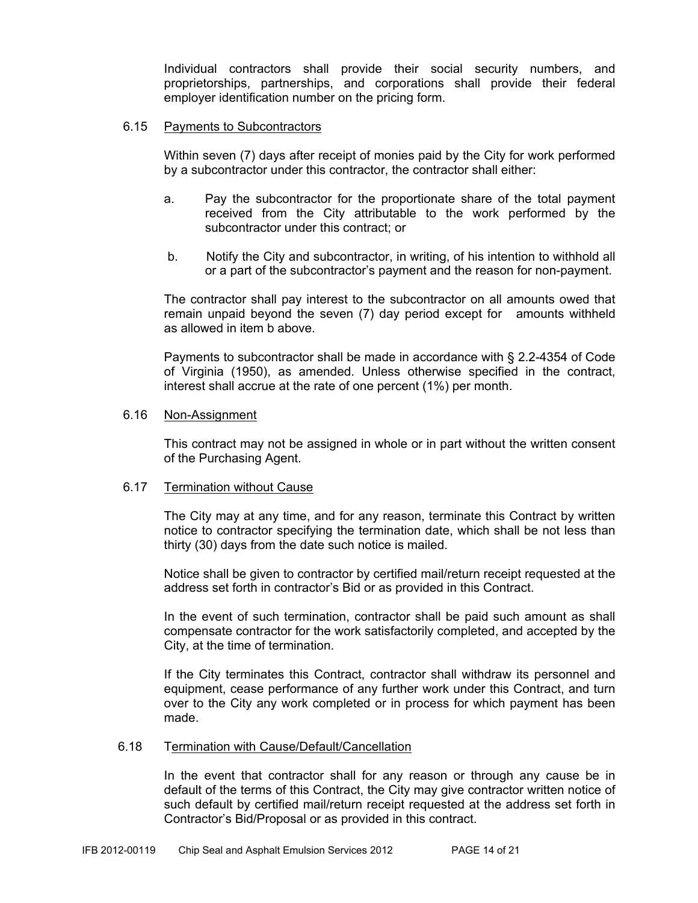Individual contractors shall provide their social security numbers, and proprietorships, partnerships, and corporations shall provide their federal employer identification number on the pricing form.

#### 6.15 Payments to Subcontractors

Within seven (7) days after receipt of monies paid by the City for work performed by a subcontractor under this contractor, the contractor shall either:

- a. Pay the subcontractor for the proportionate share of the total payment received from the City attributable to the work performed by the subcontractor under this contract; or
- b. Notify the City and subcontractor, in writing, of his intention to withhold all or a part of the subcontractor's payment and the reason for non-payment.

The contractor shall pay interest to the subcontractor on all amounts owed that remain unpaid beyond the seven (7) day period except for amounts withheld as allowed in item b above.

Payments to subcontractor shall be made in accordance with § 2.2-4354 of Code of Virginia (1950), as amended. Unless otherwise specified in the contract, interest shall accrue at the rate of one percent (1%) per month.

#### 6.16 Non-Assignment

This contract may not be assigned in whole or in part without the written consent of the Purchasing Agent.

#### 6.17 Termination without Cause

The City may at any time, and for any reason, terminate this Contract by written notice to contractor specifying the termination date, which shall be not less than thirty (30) days from the date such notice is mailed.

Notice shall be given to contractor by certified mail/return receipt requested at the address set forth in contractor's Bid or as provided in this Contract.

In the event of such termination, contractor shall be paid such amount as shall compensate contractor for the work satisfactorily completed, and accepted by the City, at the time of termination.

If the City terminates this Contract, contractor shall withdraw its personnel and equipment, cease performance of any further work under this Contract, and turn over to the City any work completed or in process for which payment has been made.

#### 6.18 Termination with Cause/Default/Cancellation

In the event that contractor shall for any reason or through any cause be in default of the terms of this Contract, the City may give contractor written notice of such default by certified mail/return receipt requested at the address set forth in Contractor's Bid/Proposal or as provided in this contract.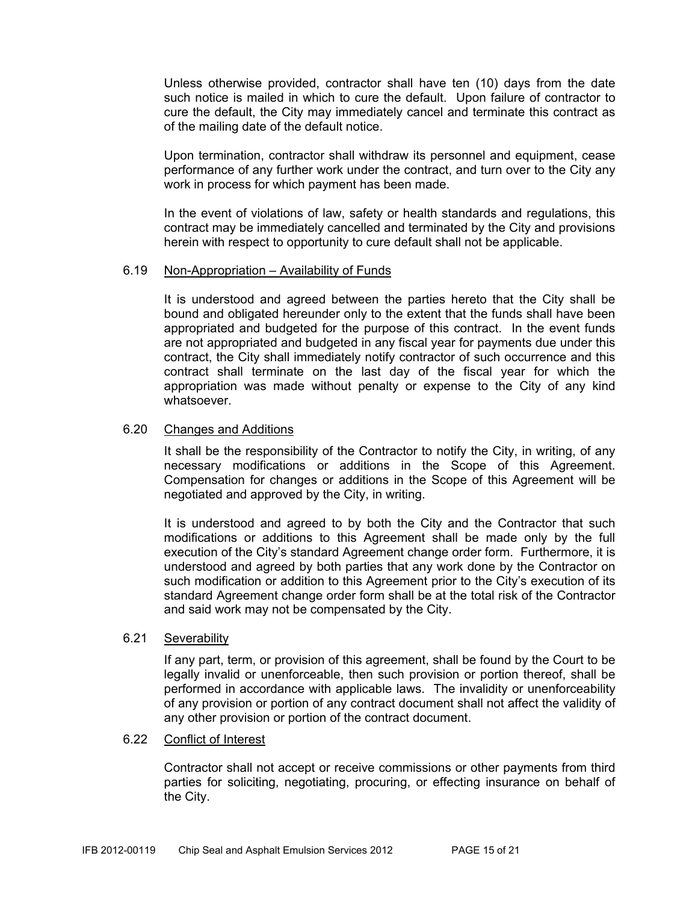Unless otherwise provided, contractor shall have ten (10) days from the date such notice is mailed in which to cure the default. Upon failure of contractor to cure the default, the City may immediately cancel and terminate this contract as of the mailing date of the default notice.

Upon termination, contractor shall withdraw its personnel and equipment, cease performance of any further work under the contract, and turn over to the City any work in process for which payment has been made.

In the event of violations of law, safety or health standards and regulations, this contract may be immediately cancelled and terminated by the City and provisions herein with respect to opportunity to cure default shall not be applicable.

#### 6.19 Non-Appropriation – Availability of Funds

It is understood and agreed between the parties hereto that the City shall be bound and obligated hereunder only to the extent that the funds shall have been appropriated and budgeted for the purpose of this contract. In the event funds are not appropriated and budgeted in any fiscal year for payments due under this contract, the City shall immediately notify contractor of such occurrence and this contract shall terminate on the last day of the fiscal year for which the appropriation was made without penalty or expense to the City of any kind whatsoever.

#### 6.20 Changes and Additions

It shall be the responsibility of the Contractor to notify the City, in writing, of any necessary modifications or additions in the Scope of this Agreement. Compensation for changes or additions in the Scope of this Agreement will be negotiated and approved by the City, in writing.

It is understood and agreed to by both the City and the Contractor that such modifications or additions to this Agreement shall be made only by the full execution of the City's standard Agreement change order form. Furthermore, it is understood and agreed by both parties that any work done by the Contractor on such modification or addition to this Agreement prior to the City's execution of its standard Agreement change order form shall be at the total risk of the Contractor and said work may not be compensated by the City.

#### 6.21 Severability

If any part, term, or provision of this agreement, shall be found by the Court to be legally invalid or unenforceable, then such provision or portion thereof, shall be performed in accordance with applicable laws. The invalidity or unenforceability of any provision or portion of any contract document shall not affect the validity of any other provision or portion of the contract document.

#### 6.22 Conflict of Interest

Contractor shall not accept or receive commissions or other payments from third parties for soliciting, negotiating, procuring, or effecting insurance on behalf of the City.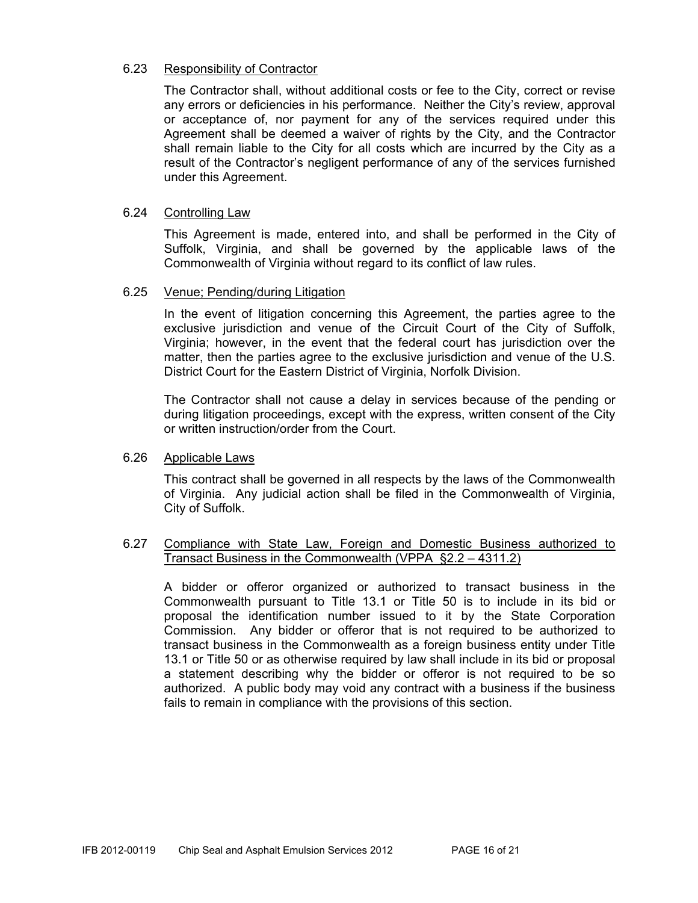#### 6.23 Responsibility of Contractor

The Contractor shall, without additional costs or fee to the City, correct or revise any errors or deficiencies in his performance. Neither the City's review, approval or acceptance of, nor payment for any of the services required under this Agreement shall be deemed a waiver of rights by the City, and the Contractor shall remain liable to the City for all costs which are incurred by the City as a result of the Contractor's negligent performance of any of the services furnished under this Agreement.

#### 6.24 Controlling Law

This Agreement is made, entered into, and shall be performed in the City of Suffolk, Virginia, and shall be governed by the applicable laws of the Commonwealth of Virginia without regard to its conflict of law rules.

#### 6.25 Venue; Pending/during Litigation

In the event of litigation concerning this Agreement, the parties agree to the exclusive jurisdiction and venue of the Circuit Court of the City of Suffolk, Virginia; however, in the event that the federal court has jurisdiction over the matter, then the parties agree to the exclusive jurisdiction and venue of the U.S. District Court for the Eastern District of Virginia, Norfolk Division.

The Contractor shall not cause a delay in services because of the pending or during litigation proceedings, except with the express, written consent of the City or written instruction/order from the Court.

#### 6.26 Applicable Laws

This contract shall be governed in all respects by the laws of the Commonwealth of Virginia. Any judicial action shall be filed in the Commonwealth of Virginia, City of Suffolk.

#### 6.27 Compliance with State Law, Foreign and Domestic Business authorized to Transact Business in the Commonwealth (VPPA §2.2 – 4311.2)

A bidder or offeror organized or authorized to transact business in the Commonwealth pursuant to Title 13.1 or Title 50 is to include in its bid or proposal the identification number issued to it by the State Corporation Commission. Any bidder or offeror that is not required to be authorized to transact business in the Commonwealth as a foreign business entity under Title 13.1 or Title 50 or as otherwise required by law shall include in its bid or proposal a statement describing why the bidder or offeror is not required to be so authorized. A public body may void any contract with a business if the business fails to remain in compliance with the provisions of this section.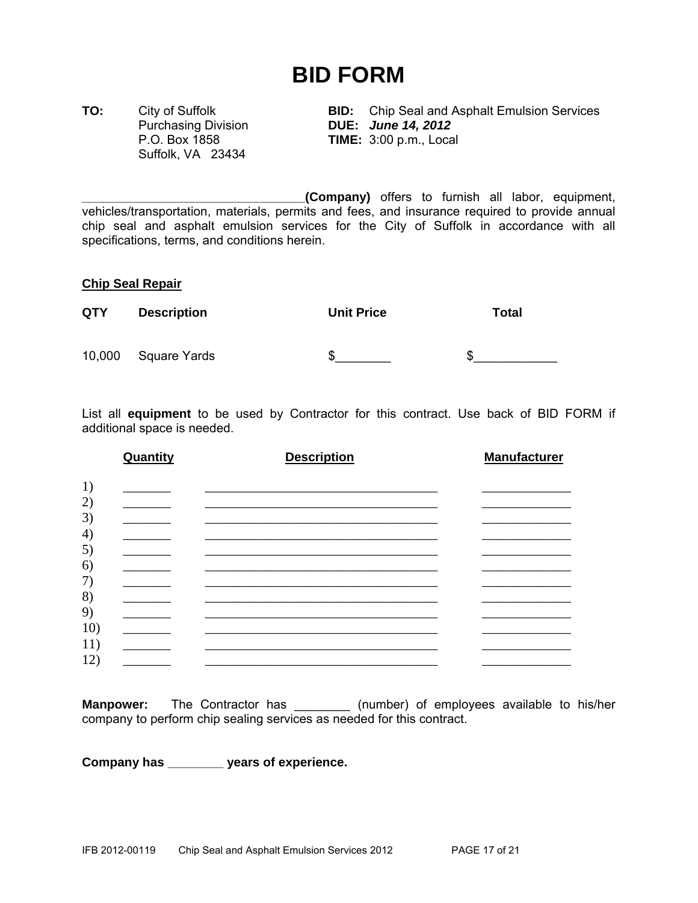## **BID FORM**

Suffolk, VA 23434

**TO:** City of Suffolk **BID:** Chip Seal and Asphalt Emulsion Services Purchasing Division **DUE:** *June 14, 2012* **TIME:** 3:00 p.m., Local

**\_\_\_\_\_\_\_\_\_\_\_\_\_\_\_\_\_\_\_\_\_\_\_\_\_\_\_\_\_\_\_\_(Company)** offers to furnish all labor, equipment, vehicles/transportation, materials, permits and fees, and insurance required to provide annual chip seal and asphalt emulsion services for the City of Suffolk in accordance with all specifications, terms, and conditions herein.

#### **Chip Seal Repair**

| <b>QTY</b> | <b>Description</b>  | <b>Unit Price</b> | Total |
|------------|---------------------|-------------------|-------|
|            | 10,000 Square Yards | S                 | \$.   |

List all **equipment** to be used by Contractor for this contract. Use back of BID FORM if additional space is needed.

| Quantity                          | <b>Description</b>                                                                                                                                                                                                            | <b>Manufacturer</b> |
|-----------------------------------|-------------------------------------------------------------------------------------------------------------------------------------------------------------------------------------------------------------------------------|---------------------|
|                                   |                                                                                                                                                                                                                               |                     |
|                                   |                                                                                                                                                                                                                               |                     |
|                                   | the control of the control of the control of the control of the control of the control of the control of the control of the control of the control of the control of the control of the control of the control of the control |                     |
|                                   |                                                                                                                                                                                                                               |                     |
|                                   |                                                                                                                                                                                                                               |                     |
|                                   | <u> 1989 - Johann Stoff, amerikansk politiker (* 1908)</u>                                                                                                                                                                    |                     |
| <b>Contract Contract Contract</b> |                                                                                                                                                                                                                               |                     |
|                                   |                                                                                                                                                                                                                               |                     |

**Manpower:** The Contractor has \_\_\_\_\_\_\_\_ (number) of employees available to his/her company to perform chip sealing services as needed for this contract.

**Company has \_\_\_\_\_\_\_\_ years of experience.**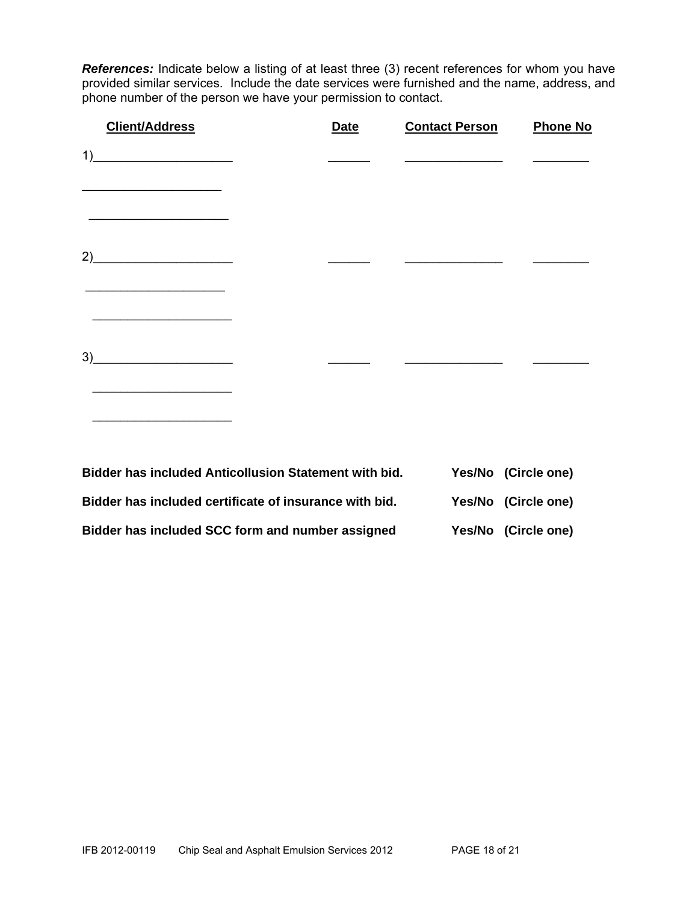*References:* Indicate below a listing of at least three (3) recent references for whom you have provided similar services. Include the date services were furnished and the name, address, and phone number of the person we have your permission to contact.

| <b>Client/Address</b>                                                                                                       | <b>Date</b>                                                  | <b>Contact Person</b> | <b>Phone No</b>     |
|-----------------------------------------------------------------------------------------------------------------------------|--------------------------------------------------------------|-----------------------|---------------------|
| 1)<br><u> Alexandro de la contentación de la contentación de la contentación de la contentación de la contentación de l</u> |                                                              |                       |                     |
| <u> 2002 - Johann John Stein, market francuski filozof (</u><br>2)                                                          |                                                              |                       |                     |
| the contract of the contract of the contract of the contract of the contract of the contract of the contract of<br>3)       |                                                              |                       |                     |
|                                                                                                                             |                                                              |                       |                     |
|                                                                                                                             | <b>Bidder has included Anticollusion Statement with bid.</b> |                       | Yes/No (Circle one) |

| Bidder has included certificate of insurance with bid. | Yes/No (Circle one) |
|--------------------------------------------------------|---------------------|
| Bidder has included SCC form and number assigned       | Yes/No (Circle one) |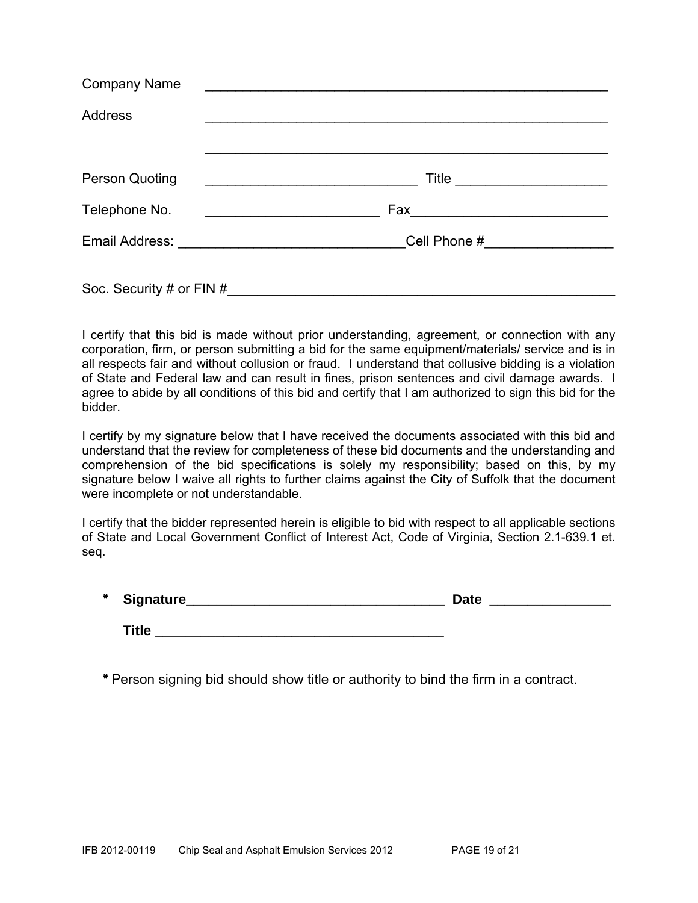| <b>Company Name</b>      | <u> 1980 - Andrea Barbara, manazarta eta politikaria (h. 1980).</u> |
|--------------------------|---------------------------------------------------------------------|
| <b>Address</b>           |                                                                     |
|                          |                                                                     |
| <b>Person Quoting</b>    | Title _______________________                                       |
| Telephone No.            |                                                                     |
|                          |                                                                     |
| Soc. Security # or FIN # |                                                                     |

I certify that this bid is made without prior understanding, agreement, or connection with any corporation, firm, or person submitting a bid for the same equipment/materials/ service and is in all respects fair and without collusion or fraud. I understand that collusive bidding is a violation of State and Federal law and can result in fines, prison sentences and civil damage awards. I agree to abide by all conditions of this bid and certify that I am authorized to sign this bid for the bidder.

I certify by my signature below that I have received the documents associated with this bid and understand that the review for completeness of these bid documents and the understanding and comprehension of the bid specifications is solely my responsibility; based on this, by my signature below I waive all rights to further claims against the City of Suffolk that the document were incomplete or not understandable.

I certify that the bidder represented herein is eligible to bid with respect to all applicable sections of State and Local Government Conflict of Interest Act, Code of Virginia, Section 2.1-639.1 et. seq.

| * Signature_ | <b>Date</b> |  |
|--------------|-------------|--|
|              |             |  |

**Title** 

\* Person signing bid should show title or authority to bind the firm in a contract.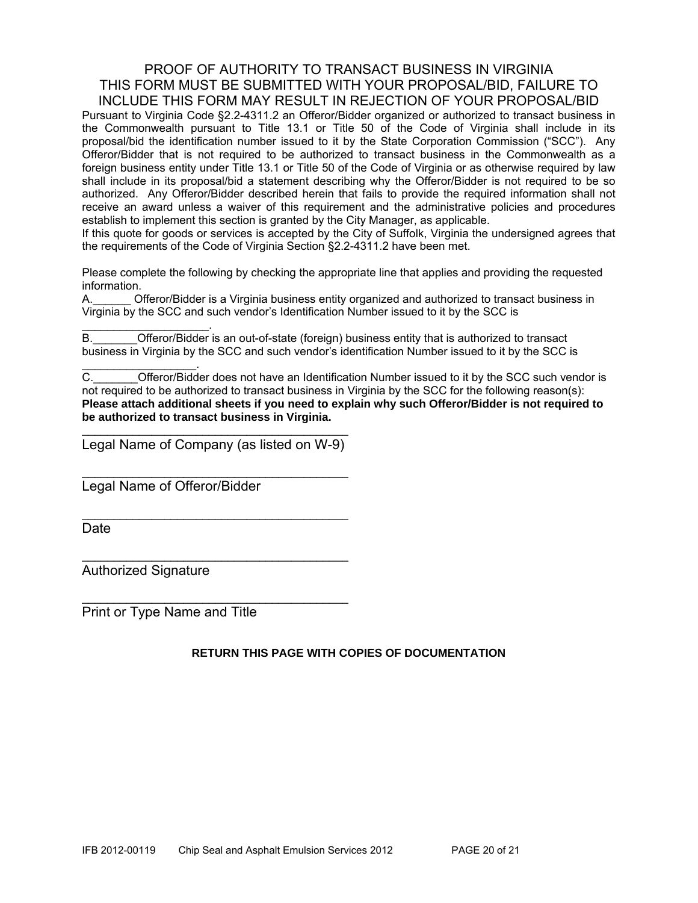#### PROOF OF AUTHORITY TO TRANSACT BUSINESS IN VIRGINIA THIS FORM MUST BE SUBMITTED WITH YOUR PROPOSAL/BID, FAILURE TO INCLUDE THIS FORM MAY RESULT IN REJECTION OF YOUR PROPOSAL/BID

Pursuant to Virginia Code §2.2-4311.2 an Offeror/Bidder organized or authorized to transact business in the Commonwealth pursuant to Title 13.1 or Title 50 of the Code of Virginia shall include in its proposal/bid the identification number issued to it by the State Corporation Commission ("SCC"). Any Offeror/Bidder that is not required to be authorized to transact business in the Commonwealth as a foreign business entity under Title 13.1 or Title 50 of the Code of Virginia or as otherwise required by law shall include in its proposal/bid a statement describing why the Offeror/Bidder is not required to be so authorized. Any Offeror/Bidder described herein that fails to provide the required information shall not receive an award unless a waiver of this requirement and the administrative policies and procedures establish to implement this section is granted by the City Manager, as applicable.

If this quote for goods or services is accepted by the City of Suffolk, Virginia the undersigned agrees that the requirements of the Code of Virginia Section §2.2-4311.2 have been met.

Please complete the following by checking the appropriate line that applies and providing the requested information.

A.\_\_\_\_\_\_ Offeror/Bidder is a Virginia business entity organized and authorized to transact business in Virginia by the SCC and such vendor's Identification Number issued to it by the SCC is

 $\mathcal{L}_\text{max}$  and  $\mathcal{L}_\text{max}$  and  $\mathcal{L}_\text{max}$ B. **Combinded Offeror/Bidder** is an out-of-state (foreign) business entity that is authorized to transact business in Virginia by the SCC and such vendor's identification Number issued to it by the SCC is

C. C. C. Cofferor/Bidder does not have an Identification Number issued to it by the SCC such vendor is not required to be authorized to transact business in Virginia by the SCC for the following reason(s): **Please attach additional sheets if you need to explain why such Offeror/Bidder is not required to be authorized to transact business in Virginia.** 

\_\_\_\_\_\_\_\_\_\_\_\_\_\_\_\_\_\_\_\_\_\_\_\_\_\_\_\_\_\_\_\_\_\_\_\_\_\_\_\_\_\_ Legal Name of Company (as listed on W-9)

\_\_\_\_\_\_\_\_\_\_\_\_\_\_\_\_\_\_\_\_\_\_\_\_\_\_\_\_\_\_\_\_\_\_\_\_\_\_\_\_\_\_

\_\_\_\_\_\_\_\_\_\_\_\_\_\_\_\_\_\_\_\_\_\_\_\_\_\_\_\_\_\_\_\_\_\_\_\_\_\_\_\_\_\_

\_\_\_\_\_\_\_\_\_\_\_\_\_\_\_\_\_\_\_\_\_\_\_\_\_\_\_\_\_\_\_\_\_\_\_\_\_\_\_\_\_\_

 $\mathcal{L}_\text{max}$  , and the set of the set of the set of the set of the set of the set of the set of the set of the set of the set of the set of the set of the set of the set of the set of the set of the set of the set of the

Legal Name of Offeror/Bidder

**Date** 

Authorized Signature

 $\mathcal{L}_\text{max}$  and  $\mathcal{L}_\text{max}$  and  $\mathcal{L}_\text{max}$ 

Print or Type Name and Title

#### **RETURN THIS PAGE WITH COPIES OF DOCUMENTATION**